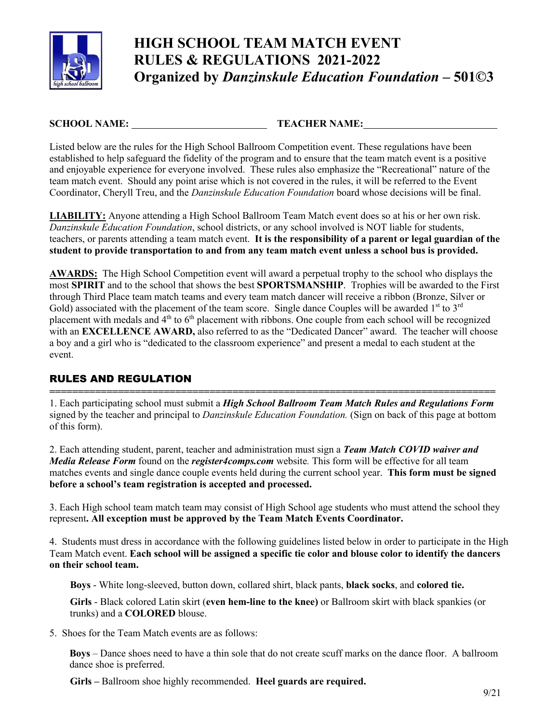

# **HIGH SCHOOL TEAM MATCH EVENT RULES & REGULATIONS 2021-2022 Organized by** *Danzinskule Education Foundation* **– 501©3**

**SCHOOL NAME: TEACHER NAME:** 

Listed below are the rules for the High School Ballroom Competition event. These regulations have been established to help safeguard the fidelity of the program and to ensure that the team match event is a positive and enjoyable experience for everyone involved. These rules also emphasize the "Recreational" nature of the team match event. Should any point arise which is not covered in the rules, it will be referred to the Event Coordinator, Cheryll Treu, and the *Danzinskule Education Foundation* board whose decisions will be final.

**LIABILITY:** Anyone attending a High School Ballroom Team Match event does so at his or her own risk. *Danzinskule Education Foundation*, school districts, or any school involved is NOT liable for students, teachers, or parents attending a team match event. **It is the responsibility of a parent or legal guardian of the student to provide transportation to and from any team match event unless a school bus is provided.** 

**AWARDS:** The High School Competition event will award a perpetual trophy to the school who displays the most **SPIRIT** and to the school that shows the best **SPORTSMANSHIP**. Trophies will be awarded to the First through Third Place team match teams and every team match dancer will receive a ribbon (Bronze, Silver or Gold) associated with the placement of the team score. Single dance Couples will be awarded  $1<sup>st</sup>$  to  $3<sup>rd</sup>$ placement with medals and 4<sup>th</sup> to 6<sup>th</sup> placement with ribbons. One couple from each school will be recognized with an **EXCELLENCE AWARD,** also referred to as the "Dedicated Dancer" award. The teacher will choose a boy and a girl who is "dedicated to the classroom experience" and present a medal to each student at the event.

# RULES AND REGULATION

**==============================================================================** 1. Each participating school must submit a *High School Ballroom Team Match Rules and Regulations Form*  signed by the teacher and principal to *Danzinskule Education Foundation.* (Sign on back of this page at bottom of this form).

2. Each attending student, parent, teacher and administration must sign a *Team Match COVID waiver and Media Release Form* found on the *register4comps.com* website*.* This form will be effective for all team matches events and single dance couple events held during the current school year. **This form must be signed before a school's team registration is accepted and processed.** 

3. Each High school team match team may consist of High School age students who must attend the school they represent**. All exception must be approved by the Team Match Events Coordinator.**

4. Students must dress in accordance with the following guidelines listed below in order to participate in the High Team Match event. **Each school will be assigned a specific tie color and blouse color to identify the dancers on their school team.**

**Boys** - White long-sleeved, button down, collared shirt, black pants, **black socks**, and **colored tie.** 

**Girls** - Black colored Latin skirt (**even hem-line to the knee)** or Ballroom skirt with black spankies (or trunks) and a **COLORED** blouse.

5. Shoes for the Team Match events are as follows:

**Boys** – Dance shoes need to have a thin sole that do not create scuff marks on the dance floor. A ballroom dance shoe is preferred.

**Girls –** Ballroom shoe highly recommended. **Heel guards are required.**